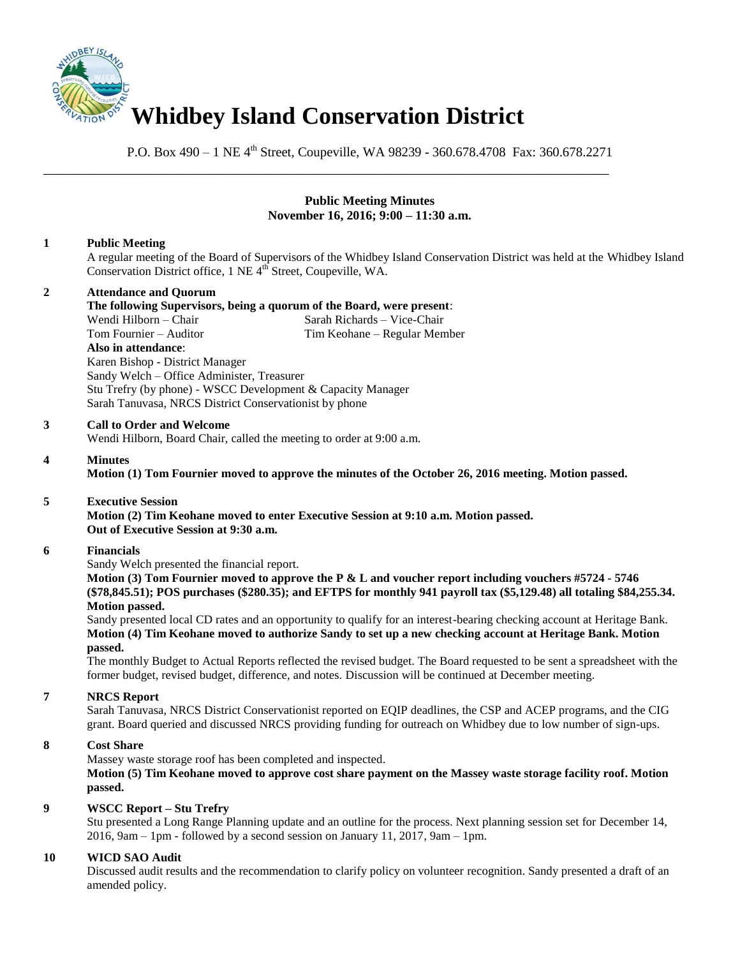

P.O. Box 490 – 1 NE 4<sup>th</sup> Street, Coupeville, WA 98239 - 360.678.4708 Fax: 360.678.2271

\_\_\_\_\_\_\_\_\_\_\_\_\_\_\_\_\_\_\_\_\_\_\_\_\_\_\_\_\_\_\_\_\_\_\_\_\_\_\_\_\_\_\_\_\_\_\_\_\_\_\_\_\_\_\_\_\_\_\_\_\_\_\_\_\_\_\_\_\_\_\_\_\_\_\_\_\_\_

### **Public Meeting Minutes November 16, 2016; 9:00 – 11:30 a.m.**

# **1 Public Meeting**

A regular meeting of the Board of Supervisors of the Whidbey Island Conservation District was held at the Whidbey Island Conservation District office, 1 NE 4<sup>th</sup> Street, Coupeville, WA.

# **2 Attendance and Quorum**

# **The following Supervisors, being a quorum of the Board, were present**:

Wendi Hilborn – Chair Sarah Richards – Vice-Chair Company Sarah Richards – Vice-Chair Company Sarah Republic Chair Company Sarah Richards – Nieu Sarah Republic Chair Company Sarah Richards – Nieu Sarah Richards – Nieu Sara Tim Keohane – Regular Member **Also in attendance**: Karen Bishop - District Manager Sandy Welch – Office Administer, Treasurer Stu Trefry (by phone) - WSCC Development & Capacity Manager Sarah Tanuvasa, NRCS District Conservationist by phone

#### **3 Call to Order and Welcome**

Wendi Hilborn, Board Chair, called the meeting to order at 9:00 a.m.

### **4 Minutes**

**Motion (1) Tom Fournier moved to approve the minutes of the October 26, 2016 meeting. Motion passed.** 

### **5 Executive Session**

**Motion (2) Tim Keohane moved to enter Executive Session at 9:10 a.m. Motion passed. Out of Executive Session at 9:30 a.m.** 

#### **6 Financials**

Sandy Welch presented the financial report.

**Motion (3) Tom Fournier moved to approve the P & L and voucher report including vouchers #5724 - 5746 (\$78,845.51); POS purchases (\$280.35); and EFTPS for monthly 941 payroll tax (\$5,129.48) all totaling \$84,255.34. Motion passed.** 

Sandy presented local CD rates and an opportunity to qualify for an interest-bearing checking account at Heritage Bank. **Motion (4) Tim Keohane moved to authorize Sandy to set up a new checking account at Heritage Bank. Motion passed.** 

The monthly Budget to Actual Reports reflected the revised budget. The Board requested to be sent a spreadsheet with the former budget, revised budget, difference, and notes. Discussion will be continued at December meeting.

### **7 NRCS Report**

Sarah Tanuvasa, NRCS District Conservationist reported on EQIP deadlines, the CSP and ACEP programs, and the CIG grant. Board queried and discussed NRCS providing funding for outreach on Whidbey due to low number of sign-ups.

### **8 Cost Share**

Massey waste storage roof has been completed and inspected.

**Motion (5) Tim Keohane moved to approve cost share payment on the Massey waste storage facility roof. Motion passed.** 

### **9 WSCC Report – Stu Trefry**

Stu presented a Long Range Planning update and an outline for the process. Next planning session set for December 14, 2016, 9am – 1pm - followed by a second session on January 11, 2017, 9am – 1pm.

### **10 WICD SAO Audit**

Discussed audit results and the recommendation to clarify policy on volunteer recognition. Sandy presented a draft of an amended policy.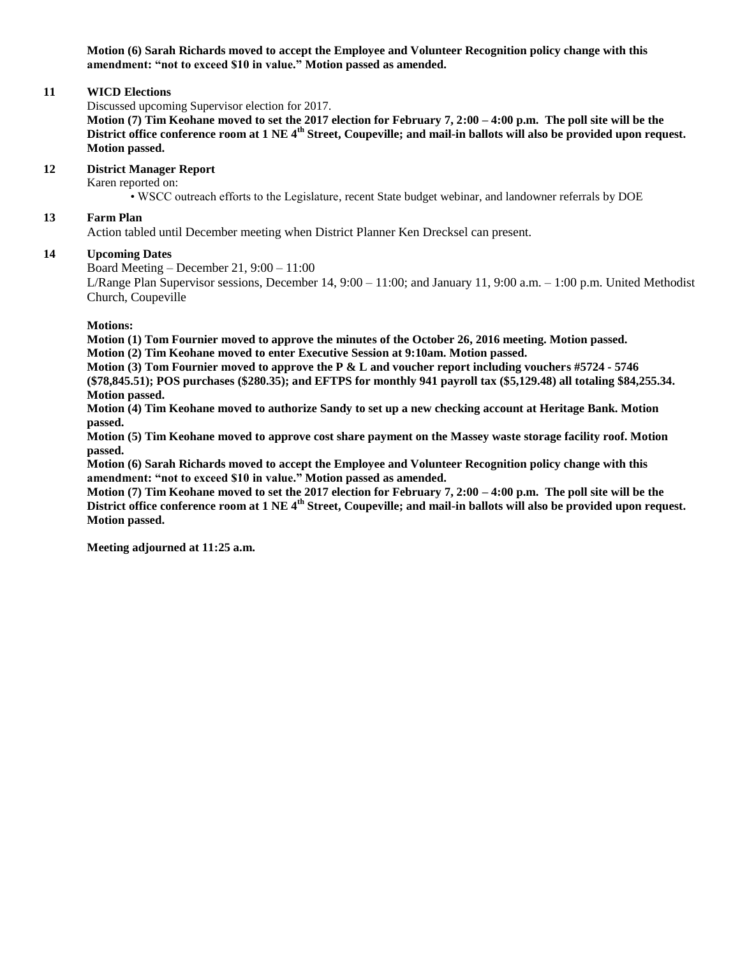**Motion (6) Sarah Richards moved to accept the Employee and Volunteer Recognition policy change with this amendment: "not to exceed \$10 in value." Motion passed as amended.**

#### **11 WICD Elections**

Discussed upcoming Supervisor election for 2017.

**Motion (7) Tim Keohane moved to set the 2017 election for February 7, 2:00 – 4:00 p.m. The poll site will be the District office conference room at 1 NE 4th Street, Coupeville; and mail-in ballots will also be provided upon request. Motion passed.**

# **12 District Manager Report**

Karen reported on:

• WSCC outreach efforts to the Legislature, recent State budget webinar, and landowner referrals by DOE

#### **13 Farm Plan**

Action tabled until December meeting when District Planner Ken Drecksel can present.

#### **14 Upcoming Dates**

Board Meeting – December 21, 9:00 – 11:00

L/Range Plan Supervisor sessions, December 14, 9:00 – 11:00; and January 11, 9:00 a.m. – 1:00 p.m. United Methodist Church, Coupeville

**Motions:**

**Motion (1) Tom Fournier moved to approve the minutes of the October 26, 2016 meeting. Motion passed. Motion (2) Tim Keohane moved to enter Executive Session at 9:10am. Motion passed.** 

**Motion (3) Tom Fournier moved to approve the P & L and voucher report including vouchers #5724 - 5746 (\$78,845.51); POS purchases (\$280.35); and EFTPS for monthly 941 payroll tax (\$5,129.48) all totaling \$84,255.34. Motion passed.**

**Motion (4) Tim Keohane moved to authorize Sandy to set up a new checking account at Heritage Bank. Motion passed.** 

**Motion (5) Tim Keohane moved to approve cost share payment on the Massey waste storage facility roof. Motion passed.** 

**Motion (6) Sarah Richards moved to accept the Employee and Volunteer Recognition policy change with this amendment: "not to exceed \$10 in value." Motion passed as amended.**

**Motion (7) Tim Keohane moved to set the 2017 election for February 7, 2:00 – 4:00 p.m. The poll site will be the District office conference room at 1 NE 4th Street, Coupeville; and mail-in ballots will also be provided upon request. Motion passed.**

**Meeting adjourned at 11:25 a.m.**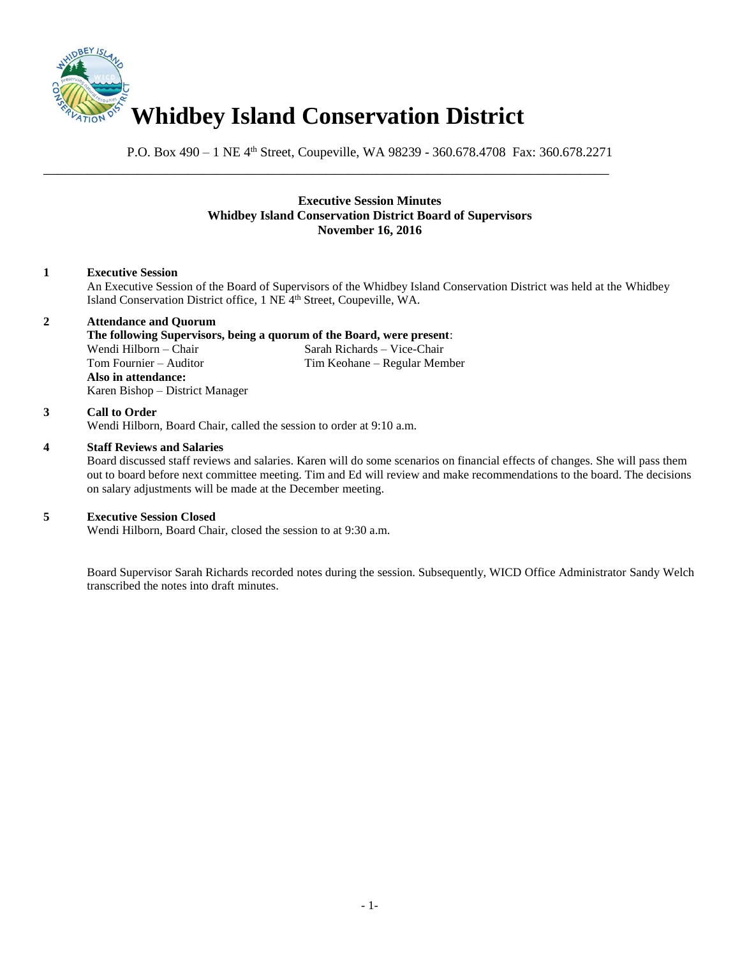

P.O. Box 490 – 1 NE 4<sup>th</sup> Street, Coupeville, WA 98239 - 360.678.4708 Fax: 360.678.2271

\_\_\_\_\_\_\_\_\_\_\_\_\_\_\_\_\_\_\_\_\_\_\_\_\_\_\_\_\_\_\_\_\_\_\_\_\_\_\_\_\_\_\_\_\_\_\_\_\_\_\_\_\_\_\_\_\_\_\_\_\_\_\_\_\_\_\_\_\_\_\_\_\_\_\_\_\_\_

# **Executive Session Minutes Whidbey Island Conservation District Board of Supervisors November 16, 2016**

# **1 Executive Session**

An Executive Session of the Board of Supervisors of the Whidbey Island Conservation District was held at the Whidbey Island Conservation District office, 1 NE 4<sup>th</sup> Street, Coupeville, WA.

# **2 Attendance and Quorum**

#### **The following Supervisors, being a quorum of the Board, were present**:

Wendi Hilborn – Chair Sarah Richards – Vice-Chair Tom Fournier – Auditor Tim Keohane – Regular Member **Also in attendance:** Karen Bishop – District Manager

#### **3 Call to Order**

Wendi Hilborn, Board Chair, called the session to order at 9:10 a.m.

#### **4 Staff Reviews and Salaries**

Board discussed staff reviews and salaries. Karen will do some scenarios on financial effects of changes. She will pass them out to board before next committee meeting. Tim and Ed will review and make recommendations to the board. The decisions on salary adjustments will be made at the December meeting.

### **5 Executive Session Closed**

Wendi Hilborn, Board Chair, closed the session to at 9:30 a.m.

Board Supervisor Sarah Richards recorded notes during the session. Subsequently, WICD Office Administrator Sandy Welch transcribed the notes into draft minutes.